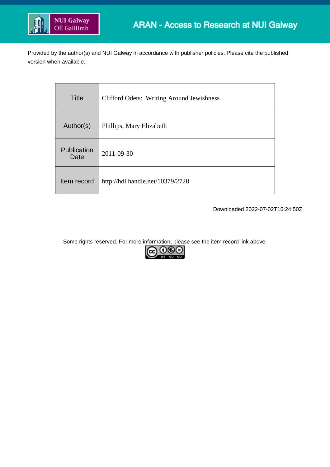

Provided by the author(s) and NUI Galway in accordance with publisher policies. Please cite the published version when available.

| Title               | <b>Clifford Odets: Writing Around Jewishness</b> |
|---------------------|--------------------------------------------------|
| Author(s)           | Phillips, Mary Elizabeth                         |
| Publication<br>Date | 2011-09-30                                       |
| Item record         | http://hdl.handle.net/10379/2728                 |

Downloaded 2022-07-02T16:24:50Z

Some rights reserved. For more information, please see the item record link above.